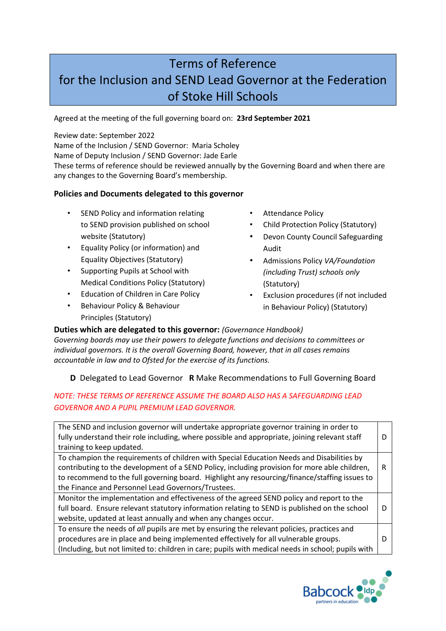# Terms of Reference for the Inclusion and SEND Lead Governor at the Federation of Stoke Hill Schools

Agreed at the meeting of the full governing board on: **23rd September 2021**

Review date: September 2022

Name of the Inclusion / SEND Governor: Maria Scholey

Name of Deputy Inclusion / SEND Governor: Jade Earle

These terms of reference should be reviewed annually by the Governing Board and when there are any changes to the Governing Board's membership.

## **Policies and Documents delegated to this governor**

- SEND Policy and information relating to SEND provision published on school website (Statutory)
- Equality Policy (or information) and Equality Objectives (Statutory)
- Supporting Pupils at School with Medical Conditions Policy (Statutory)
- Education of Children in Care Policy
- Behaviour Policy & Behaviour Principles (Statutory)
- Attendance Policy
- Child Protection Policy (Statutory)
- Devon County Council Safeguarding Audit
- Admissions Policy *VA/Foundation (including Trust) schools only* (Statutory)
- Exclusion procedures (if not included in Behaviour Policy) (Statutory)

#### **Duties which are delegated to this governor:** *(Governance Handbook)*

*Governing boards may use their powers to delegate functions and decisions to committees or individual governors. It is the overall Governing Board, however, that in all cases remains accountable in law and to Ofsted for the exercise of its functions.* 

## **D** Delegated to Lead Governor **R** Make Recommendations to Full Governing Board

## *NOTE: THESE TERMS OF REFERENCE ASSUME THE BOARD ALSO HAS A SAFEGUARDING LEAD GOVERNOR AND A PUPIL PREMIUM LEAD GOVERNOR.*

| The SEND and inclusion governor will undertake appropriate governor training in order to<br>fully understand their role including, where possible and appropriate, joining relevant staff<br>training to keep updated.                                                                                                                            |   |
|---------------------------------------------------------------------------------------------------------------------------------------------------------------------------------------------------------------------------------------------------------------------------------------------------------------------------------------------------|---|
| To champion the requirements of children with Special Education Needs and Disabilities by<br>contributing to the development of a SEND Policy, including provision for more able children,<br>to recommend to the full governing board. Highlight any resourcing/finance/staffing issues to<br>the Finance and Personnel Lead Governors/Trustees. | R |
| Monitor the implementation and effectiveness of the agreed SEND policy and report to the<br>full board. Ensure relevant statutory information relating to SEND is published on the school<br>website, updated at least annually and when any changes occur.                                                                                       |   |
| To ensure the needs of all pupils are met by ensuring the relevant policies, practices and<br>procedures are in place and being implemented effectively for all vulnerable groups.<br>(Including, but not limited to: children in care; pupils with medical needs in school; pupils with                                                          |   |